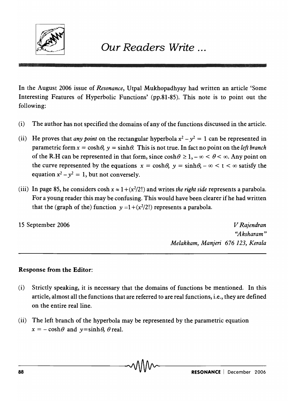

In the August 2006 issue of *Resonance,* Utpal Mukhopadhyay had written an article 'Some Interesting Features of Hyperbolic Functions' (pp.81-85). This note is to point out the following:

- (i) The author has not specified the domains of any of the functions discussed in the article.
- (ii) He proves that *any point* on the rectangular hyperbola  $x^2 y^2 = 1$  can be represented in parametric form  $x = \cosh \theta$ ,  $y = \sinh \theta$ . This is not true. In fact no point on the *left branch* of the R.H can be represented in that form, since  $\cosh \theta \ge 1$ ,  $-\infty < \theta < \infty$ . Any point on the curve represented by the equations  $x = \cosh \theta$ ,  $y = \sinh \theta$ ,  $-\infty < t < \infty$  satisfy the equation  $x^2 - y^2 = 1$ , but not conversely.
- (iii) In page 85, he considers cosh  $x \approx 1 + (x^2/2!)$  and writes *the right side* represents a parabola. For a young reader this may be confusing. This would have been clearer if he had written that the (graph of the) function  $y = 1 + (x^2/2!)$  represents a parabola.

15 September 2006

*V Rajendran ''A ksharam" Melakkam, Manjeri* 676 123, *Kerala* 

## Response from the Editor:

- (i) Strictly speaking, it is necessary that the domains of functions be mentioned. In this article, almost all the functions that are referred to are real functions, i.e., they are defined on the entire real line.
- (ii) The left branch of the hyperbola may be represented by the parametric equation  $x = -\cosh\theta$  and  $y = \sinh\theta$ ,  $\theta$  real.